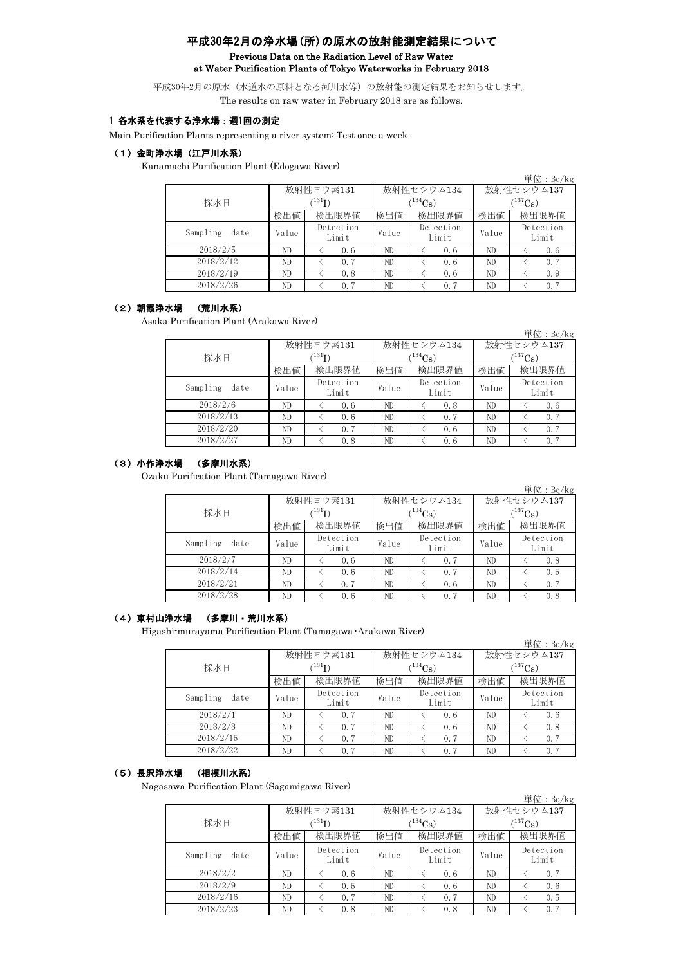# 平成30年2月の浄水場(所)の原水の放射能測定結果について Previous Data on the Radiation Level of Raw Water at Water Purification Plants of Tokyo Waterworks in February 2018

平成30年2月の原水(水道水の原料となる河川水等)の放射能の測定結果をお知らせします。 The results on raw water in February 2018 are as follows.

# 1 各水系を代表する浄水場:週1回の測定

Main Purification Plants representing a river system: Test once a week

#### (1)金町浄水場(江戸川水系)

Kanamachi Purification Plant (Edogawa River)

|                  |               |                    |       |                    |              | 単位: $Bq/kg$        |  |
|------------------|---------------|--------------------|-------|--------------------|--------------|--------------------|--|
|                  |               | 放射性ヨウ素131          |       | 放射性セシウム134         | 放射性セシウム137   |                    |  |
| 採水日              | $^{(131)}$ T) |                    |       | $(134)$ Cs         | $(^{137}Cs)$ |                    |  |
|                  | 検出値           | 検出限界値              | 検出値   | 検出限界値              | 検出値          | 検出限界値              |  |
| Sampling<br>date | Value         | Detection<br>Limit | Value | Detection<br>Limit | Value        | Detection<br>Limit |  |
| 2018/2/5         | ND.           | 0.6                | ND    | 0.6                | ND           | 0.6                |  |
| 2018/2/12        | ND.           | 0.7                | ND    | 0.6                | ND           | 0.7                |  |
| 2018/2/19        | ND.           | 0.8                | ND    | 0.6                | ND           | 0.9                |  |
| 2018/2/26        | ND            | 0.7                | ND    | 0.7                | ND           | 0.7                |  |

# (2)朝霞浄水場 (荒川水系)

Asaka Purification Plant (Arakawa River)

|                  |       |                      |       |                    |                       | 単位:Bq/kg           |  |
|------------------|-------|----------------------|-------|--------------------|-----------------------|--------------------|--|
|                  |       | 放射性ヨウ素131            |       | 放射性セシウム134         | 放射性セシウム137            |                    |  |
| 採水日              |       | $(^{131}\mathrm{I})$ |       | $1^{134}$ Cs)      | $(^{137}\mathrm{Cs})$ |                    |  |
|                  | 検出値   | 検出限界値                | 検出値   | 検出限界値              | 検出値                   | 検出限界値              |  |
| Sampling<br>date | Value | Detection<br>Limit   | Value | Detection<br>Limit | Value                 | Detection<br>Limit |  |
| 2018/2/6         | ND    | 0.6                  | ND    | 0.8                | ND                    | 0, 6               |  |
| 2018/2/13        | ND    | 0, 6                 | ND    | 0, 7               | ND                    | 0.7                |  |
| 2018/2/20        | ND    | 0.7                  | ND    | 0.6                | ND.                   | 0.7                |  |
| 2018/2/27        | ND    | 0.8                  | ND    | 0.6                | ND                    | 0.7                |  |

#### (3)小作浄水場 (多摩川水系)

Ozaku Purification Plant (Tamagawa River)

|                  |       |                           |       |                    |                  | 単位: $Bq/kg$        |  |
|------------------|-------|---------------------------|-------|--------------------|------------------|--------------------|--|
|                  |       | 放射性ヨウ素131                 |       | 放射性セシウム134         | 放射性セシウム137       |                    |  |
| 採水日              |       | $^{\rm (131)}\mathrm{I})$ |       | $134C_8$ )         | $\rm (^{137}Cs)$ |                    |  |
|                  | 検出値   | 検出限界値                     | 検出値   | 検出限界値              | 検出値              | 検出限界値              |  |
| Sampling<br>date | Value | Detection<br>Limit        | Value | Detection<br>Limit | Value            | Detection<br>Limit |  |
| 2018/2/7         | ND.   | 0, 6                      | ND    | 0.7                | ND               | 0, 8               |  |
| 2018/2/14        | ND    | 0.6                       | ND    | 0.7                | ND               | 0.5                |  |
| 2018/2/21        | ND    | 0.7                       | ND    | 0.6                | ND               | 0, 7               |  |
| 2018/2/28        | ND    | 0.6                       | ND    | 0, 7               | ND               | 0.8                |  |

#### (4)東村山浄水場 (多摩川・荒川水系)

Higashi-murayama Purification Plant (Tamagawa・Arakawa River)

|                  |       |                    |       |                    |                       | $\vert \overline{\underline{\mathrm{H}}} \underline{\mathrm{f} \underline{\mathrm{f}}}$ : Bq/kg |  |
|------------------|-------|--------------------|-------|--------------------|-----------------------|-------------------------------------------------------------------------------------------------|--|
|                  |       | 放射性ヨウ素131          |       | 放射性セシウム134         | 放射性セシウム137            |                                                                                                 |  |
| 採水日              |       | $^{\prime 131}$ I) |       | $(134)$ Cs         | $(^{137}\mathrm{Cs})$ |                                                                                                 |  |
|                  | 検出値   | 検出限界値              | 検出値   | 検出限界値              | 検出値                   | 検出限界値                                                                                           |  |
| Sampling<br>date | Value | Detection<br>Limit | Value | Detection<br>Limit | Value                 | Detection<br>Limit                                                                              |  |
| 2018/2/1         | ND    | 0.7                | ND    | 0.6                | ND                    | 0.6                                                                                             |  |
| 2018/2/8         | ND    | 0.7                | ND    | 0.6                | ND                    | 0, 8                                                                                            |  |
| 2018/2/15        | ND    | 0.7                | ND    | 0.7                | ND                    | 0.7                                                                                             |  |
| 2018/2/22        | ND    | 0.7                | ND    | 0.7                | ND.                   | 0, 7                                                                                            |  |

# (5)長沢浄水場 (相模川水系)

Nagasawa Purification Plant (Sagamigawa River)

|                  |                    |                    |       |                       |              | 単位: $Bq/kg$        |  |
|------------------|--------------------|--------------------|-------|-----------------------|--------------|--------------------|--|
|                  |                    | 放射性ヨウ素131          |       | 放射性セシウム134            | 放射性セシウム137   |                    |  |
| 採水日              | $\rm \, (^{131}I)$ |                    |       | $(^{134}\mathrm{Cs})$ | $(^{137}Cs)$ |                    |  |
|                  | 検出値                | 検出限界値              | 検出値   | 検出限界値                 | 検出値          | 検出限界値              |  |
| Sampling<br>date | Value              | Detection<br>Limit | Value | Detection<br>Limit    | Value        | Detection<br>Limit |  |
| 2018/2/2         | ND                 | 0.6                | ND    | 0.6                   | ND           | 0, 7               |  |
| 2018/2/9         | ND                 | 0.5                | ND    | 0.6                   | ND           | 0.6                |  |
| 2018/2/16        | ND                 | 0.7                | ND    | 0.7                   | ND           | 0.5                |  |
| 2018/2/23        | ND                 | 0.8                | ND    | 0.8                   | ND           | 0.7                |  |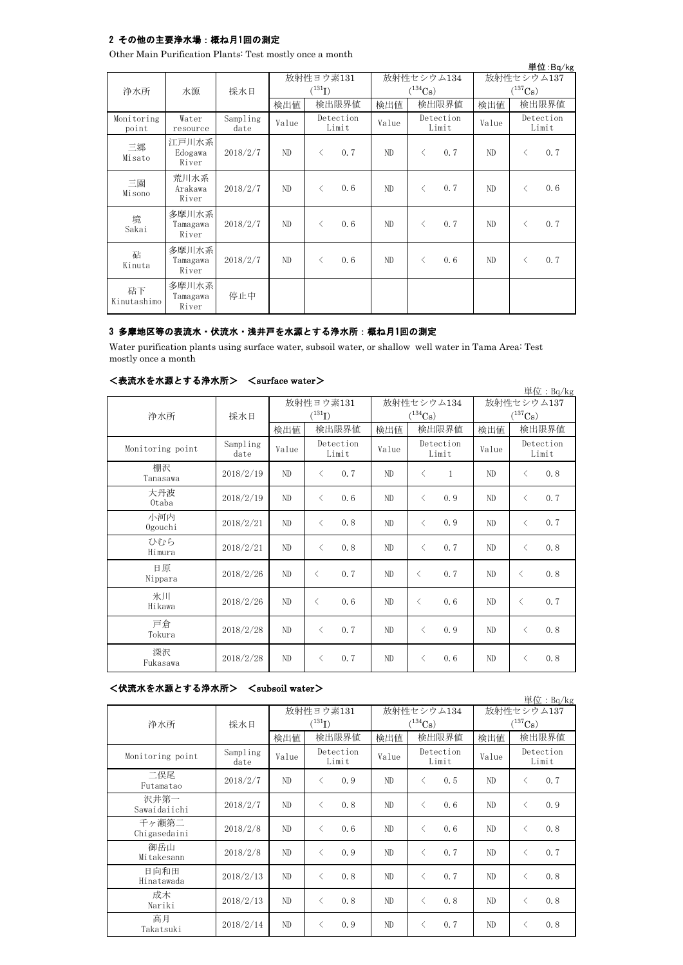## 2 その他の主要浄水場:概ね月1回の測定

Other Main Purification Plants: Test mostly once a month

|                     |                            |                  |       |                          |                    |       |              |                    |       |              | 単位:Bq/kg           |
|---------------------|----------------------------|------------------|-------|--------------------------|--------------------|-------|--------------|--------------------|-------|--------------|--------------------|
| 浄水所                 | 水源                         | 採水日              |       | 放射性ヨウ素131<br>$(^{131}I)$ |                    |       | $(^{134}Cs)$ | 放射性セシウム134         |       | $(^{137}Cs)$ | 放射性セシウム137         |
|                     |                            |                  | 検出値   |                          | 検出限界値              | 検出値   |              | 検出限界値              | 検出値   |              | 検出限界値              |
| Monitoring<br>point | Water<br>resource          | Sampling<br>date | Value |                          | Detection<br>Limit | Value |              | Detection<br>Limit | Value |              | Detection<br>Limit |
| 三郷<br>Misato        | 江戸川水系<br>Edogawa<br>River  | 2018/2/7         | ND.   | $\langle$                | 0.7                | ND    | $\langle$    | 0.7                | ND    | $\langle$    | 0, 7               |
| 三園<br>Misono        | 荒川水系<br>Arakawa<br>River   | 2018/2/7         | ND.   | $\langle$                | 0, 6               | ND    | $\langle$    | 0.7                | ND    | $\lt$        | 0.6                |
| 境<br>Sakai          | 多摩川水系<br>Tamagawa<br>River | 2018/2/7         | ND    | $\langle$                | 0.6                | ND    | $\lt$        | 0.7                | ND    | $\langle$    | 0, 7               |
| 砧<br>Kinuta         | 多摩川水系<br>Tamagawa<br>River | 2018/2/7         | ND.   | $\langle$                | 0.6                | ND.   | $\langle$    | 0.6                | ND.   | $\langle$    | 0.7                |
| 砧下<br>Kinutashimo   | 多摩川水系<br>Tamagawa<br>River | 停止中              |       |                          |                    |       |              |                    |       |              |                    |

## 3 多摩地区等の表流水・伏流水・浅井戸を水源とする浄水所:概ね月1回の測定

Water purification plants using surface water, subsoil water, or shallow well water in Tama Area: Test mostly once a month

| <表流水を水源とする浄水所> | $\langle$ surface water $\rangle$ |
|----------------|-----------------------------------|
|----------------|-----------------------------------|

|                  |                  |       |                    |       |                           |            | 単位: $Bq/kg$           |  |
|------------------|------------------|-------|--------------------|-------|---------------------------|------------|-----------------------|--|
|                  |                  |       | 放射性ヨウ素131          |       | 放射性セシウム134                | 放射性セシウム137 |                       |  |
| 浄水所              | 採水日              |       | $(^{131}I)$        |       | $(^{134}\mathrm{Cs})$     |            | $(^{137}\mathrm{Cs})$ |  |
|                  |                  | 検出値   | 検出限界値              | 検出値   | 検出限界値                     | 検出値        | 検出限界値                 |  |
| Monitoring point | Sampling<br>date | Value | Detection<br>Limit | Value | Detection<br>Limit        | Value      | Detection<br>Limit    |  |
| 棚沢<br>Tanasawa   | 2018/2/19        | ND    | 0.7<br>$\langle$   | ND    | $\mathbf{1}$<br>$\langle$ | ND         | 0.8<br>$\langle$      |  |
| 大丹波<br>0taba     | 2018/2/19        | ND    | 0, 6<br>$\langle$  | ND    | 0.9<br>$\lt$              | ND         | 0.7<br>$\langle$      |  |
| 小河内<br>Ogouchi   | 2018/2/21        | ND    | 0.8<br>$\langle$   | ND    | 0.9<br>$\langle$          | ND         | 0.7<br>$\langle$      |  |
| ひむら<br>Himura    | 2018/2/21        | ND    | 0.8<br>$\langle$   | ND    | 0, 7<br>$\langle$         | ND         | 0.8<br>$\langle$      |  |
| 日原<br>Nippara    | 2018/2/26        | ND    | $\langle$<br>0.7   | ND    | 0, 7<br>$\langle$         | ND         | 0.8<br>$\langle$      |  |
| 氷川<br>Hikawa     | 2018/2/26        | ND    | 0.6<br>$\langle$   | ND    | 0.6<br>$\langle$          | ND         | 0.7<br>$\langle$      |  |
| 戸倉<br>Tokura     | 2018/2/28        | ND    | 0.7<br>$\langle$   | ND    | 0.9<br>$\langle$          | ND         | 0.8<br>$\langle$      |  |
| 深沢<br>Fukasawa   | 2018/2/28        | ND    | 0.7<br>$\langle$   | ND    | 0.6<br>$\lt$              | ND         | 0.8<br>⟨              |  |

### <伏流水を水源とする浄水所> <subsoil water>

|                       |                  |                |                    |       |                       |            | 単位: $Bq/kg$           |
|-----------------------|------------------|----------------|--------------------|-------|-----------------------|------------|-----------------------|
|                       |                  |                | 放射性ヨウ素131          |       | 放射性セシウム134            | 放射性セシウム137 |                       |
| 浄水所                   | 採水日              |                | $(^{131}I)$        |       | $(^{134}\mathrm{Cs})$ |            | $(^{137}\mathrm{Cs})$ |
|                       |                  | 検出値            | 検出限界値              | 検出値   | 検出限界値                 | 検出値        | 検出限界値                 |
| Monitoring point      | Sampling<br>date | Value          | Detection<br>Limit | Value | Detection<br>Limit    | Value      | Detection<br>Limit    |
| 二俣尾<br>Futamatao      | 2018/2/7         | ND             | 0.9<br>$\langle$   | ND    | 0, 5<br>$\langle$     | ND         | 0.7<br>$\langle$      |
| 沢井第一<br>Sawaidaiichi  | 2018/2/7         | ND             | 0, 8<br>$\langle$  | ND    | 0.6<br>$\langle$      | ND         | 0.9<br>$\langle$      |
| 千ヶ瀬第二<br>Chigasedaini | 2018/2/8         | ND             | 0, 6<br>$\langle$  | ND    | 0.6<br>$\langle$      | ND         | 0.8<br>$\langle$      |
| 御岳山<br>Mitakesann     | 2018/2/8         | ND             | 0.9<br>$\lt$       | ND    | 0.7<br>$\langle$      | ND         | 0.7<br>$\langle$      |
| 日向和田<br>Hinatawada    | 2018/2/13        | ND             | 0.8<br>$\langle$   | ND    | 0.7<br>$\langle$      | ND         | 0.8<br>$\langle$      |
| 成木<br>Nariki          | 2018/2/13        | N <sub>D</sub> | 0.8<br>$\langle$   | ND    | 0.8<br>$\lt$          | ND         | 0.8<br>$\langle$      |
| 高月<br>Takatsuki       | 2018/2/14        | ND             | $\langle$<br>0.9   | ND    | 0.7<br>$\langle$      | ND         | 0.8<br>$\langle$      |